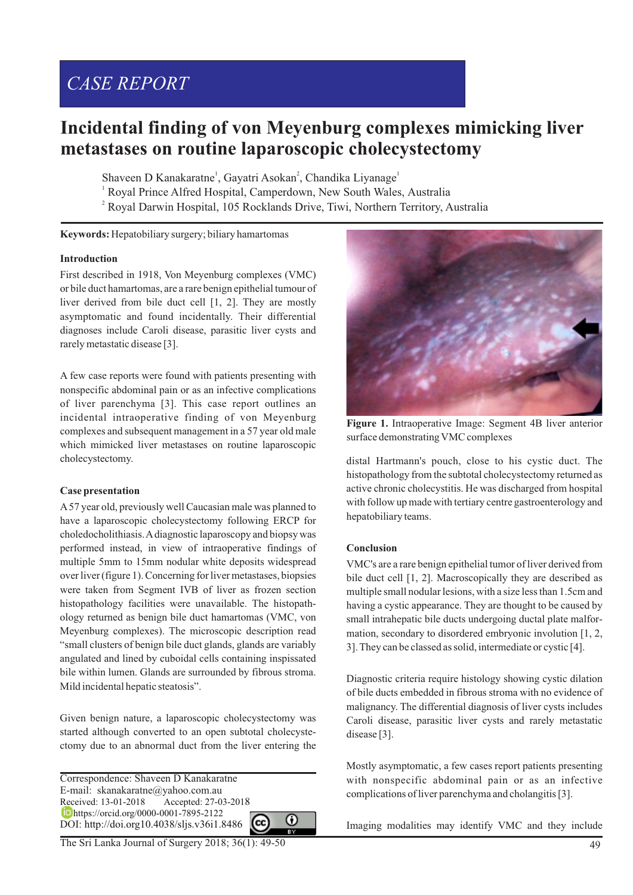# *CASE REPORT*

## **Incidental finding of von Meyenburg complexes mimicking liver metastases on routine laparoscopic cholecystectomy**

Shaveen D Kanakaratne<sup>1</sup>, Gayatri Asokan<sup>2</sup>, Chandika Liyanage<sup>1</sup>

<sup>1</sup> Royal Prince Alfred Hospital, Camperdown, New South Wales, Australia <sup>2</sup> Royal Darwin Hospital, 105 Rocklands Drive, Tiwi, Northern Territory, Australia

**Keywords:** Hepatobiliary surgery; biliary hamartomas

#### **Introduction**

First described in 1918, Von Meyenburg complexes (VMC) or bile duct hamartomas, are a rare benign epithelial tumour of liver derived from bile duct cell [1, 2]. They are mostly asymptomatic and found incidentally. Their differential diagnoses include Caroli disease, parasitic liver cysts and rarely metastatic disease [3].

A few case reports were found with patients presenting with nonspecific abdominal pain or as an infective complications of liver parenchyma [3]. This case report outlines an incidental intraoperative finding of von Meyenburg complexes and subsequent management in a 57 year old male which mimicked liver metastases on routine laparoscopic cholecystectomy.

#### **Case presentation**

A57 year old, previously well Caucasian male was planned to have a laparoscopic cholecystectomy following ERCP for choledocholithiasis. Adiagnostic laparoscopy and biopsy was performed instead, in view of intraoperative findings of multiple 5mm to 15mm nodular white deposits widespread over liver (figure 1). Concerning for liver metastases, biopsies were taken from Segment IVB of liver as frozen section histopathology facilities were unavailable. The histopathology returned as benign bile duct hamartomas (VMC, von Meyenburg complexes). The microscopic description read "small clusters of benign bile duct glands, glands are variably angulated and lined by cuboidal cells containing inspissated bile within lumen. Glands are surrounded by fibrous stroma. Mild incidental hepatic steatosis".

Given benign nature, a laparoscopic cholecystectomy was started although converted to an open subtotal cholecystectomy due to an abnormal duct from the liver entering the

Correspondence: Shaveen D Kanakaratne E-mail: skanakaratne@yahoo.com.au Received: 13-01-2018 Accepted: 27-03-2018 https://orcid.org/0000-0001-7895-2122 DOI: http://doi.org10.4038/sljs.v36i1.8486







**Figure 1.** Intraoperative Image: Segment 4B liver anterior surface demonstrating VMC complexes

distal Hartmann's pouch, close to his cystic duct. The histopathology from the subtotal cholecystectomy returned as active chronic cholecystitis. He was discharged from hospital with follow up made with tertiary centre gastroenterology and hepatobiliary teams.

#### **Conclusion**

VMC's are a rare benign epithelial tumor of liver derived from bile duct cell [1, 2]. Macroscopically they are described as multiple small nodular lesions, with a size less than 1.5cm and having a cystic appearance. They are thought to be caused by small intrahepatic bile ducts undergoing ductal plate malformation, secondary to disordered embryonic involution [1, 2, 3]. They can be classed as solid, intermediate or cystic [4].

Diagnostic criteria require histology showing cystic dilation of bile ducts embedded in fibrous stroma with no evidence of malignancy. The differential diagnosis of liver cysts includes Caroli disease, parasitic liver cysts and rarely metastatic disease [3].

Mostly asymptomatic, a few cases report patients presenting with nonspecific abdominal pain or as an infective complications of liver parenchyma and cholangitis [3].

Imaging modalities may identify VMC and they include